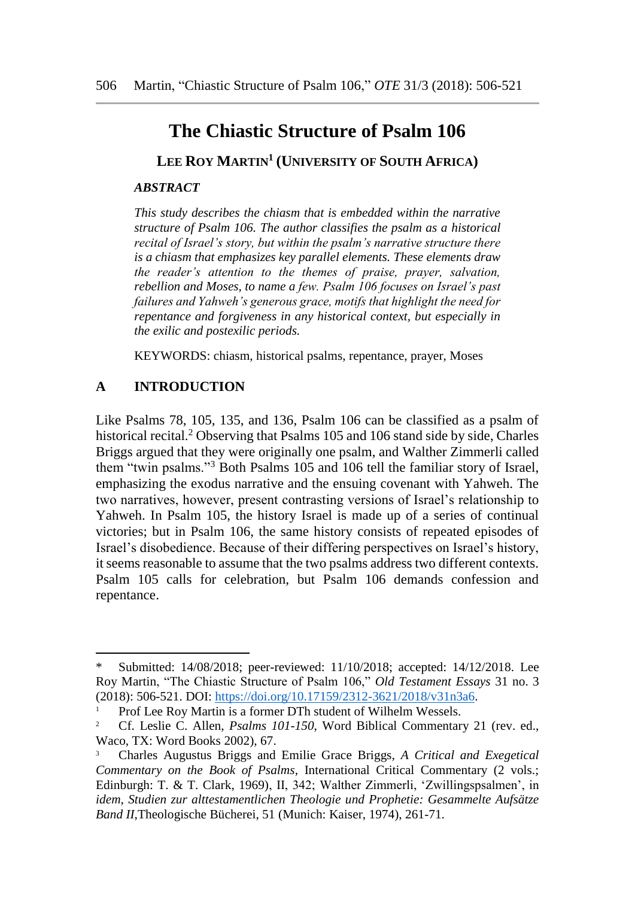# **The Chiastic Structure of Psalm 106**

**LEE ROY MARTIN<sup>1</sup> (UNIVERSITY OF SOUTH AFRICA)**

#### *ABSTRACT*

*This study describes the chiasm that is embedded within the narrative structure of Psalm 106. The author classifies the psalm as a historical recital of Israel's story, but within the psalm's narrative structure there is a chiasm that emphasizes key parallel elements. These elements draw the reader's attention to the themes of praise, prayer, salvation, rebellion and Moses, to name a few. Psalm 106 focuses on Israel's past failures and Yahweh's generous grace, motifs that highlight the need for repentance and forgiveness in any historical context, but especially in the exilic and postexilic periods.*

KEYWORDS: chiasm, historical psalms, repentance, prayer, Moses

### **A INTRODUCTION**

l

Like Psalms 78, 105, 135, and 136, Psalm 106 can be classified as a psalm of historical recital.<sup>2</sup> Observing that Psalms 105 and 106 stand side by side, Charles Briggs argued that they were originally one psalm, and Walther Zimmerli called them "twin psalms."<sup>3</sup> Both Psalms 105 and 106 tell the familiar story of Israel, emphasizing the exodus narrative and the ensuing covenant with Yahweh. The two narratives, however, present contrasting versions of Israel's relationship to Yahweh. In Psalm 105, the history Israel is made up of a series of continual victories; but in Psalm 106, the same history consists of repeated episodes of Israel's disobedience. Because of their differing perspectives on Israel's history, it seems reasonable to assume that the two psalms address two different contexts. Psalm 105 calls for celebration, but Psalm 106 demands confession and repentance.

Submitted: 14/08/2018; peer-reviewed: 11/10/2018; accepted: 14/12/2018. Lee Roy Martin, "The Chiastic Structure of Psalm 106," *Old Testament Essays* 31 no. 3 (2018): 506-521. DOI: [https://doi.org/10.17159/2312-3621/2018/v31n3a6.](https://doi.org/10.17159/2312-3621/2018/v31n3a6)

<sup>1</sup> Prof Lee Roy Martin is a former DTh student of Wilhelm Wessels.

<sup>2</sup> Cf. Leslie C. Allen, *Psalms 101-150*, Word Biblical Commentary 21 (rev. ed., Waco, TX: Word Books 2002), 67.

<sup>3</sup> Charles Augustus Briggs and Emilie Grace Briggs, *A Critical and Exegetical Commentary on the Book of Psalms*, International Critical Commentary (2 vols.; Edinburgh: T. & T. Clark, 1969), II, 342; Walther Zimmerli, 'Zwillingspsalmen', in *idem*, *Studien zur alttestamentlichen Theologie und Prophetie: Gesammelte Aufsätze Band II*,Theologische Bücherei, 51 (Munich: Kaiser, 1974), 261-71.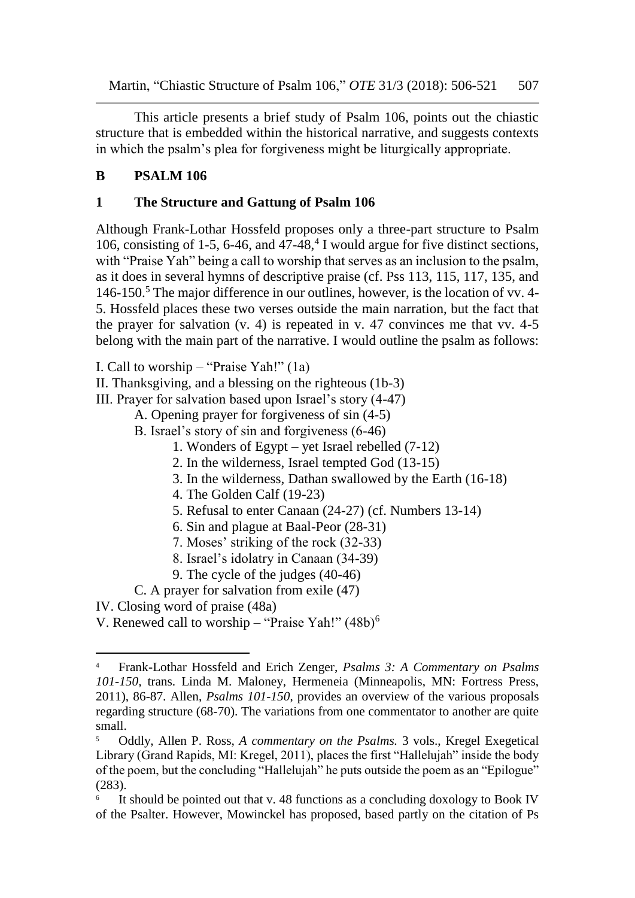This article presents a brief study of Psalm 106, points out the chiastic structure that is embedded within the historical narrative, and suggests contexts in which the psalm's plea for forgiveness might be liturgically appropriate.

# **B PSALM 106**

### **1 The Structure and Gattung of Psalm 106**

Although Frank-Lothar Hossfeld proposes only a three-part structure to Psalm 106, consisting of 1-5, 6-46, and  $47-48$ ,  $4$  I would argue for five distinct sections, with "Praise Yah" being a call to worship that serves as an inclusion to the psalm, as it does in several hymns of descriptive praise (cf. Pss 113, 115, 117, 135, and 146-150.<sup>5</sup> The major difference in our outlines, however, is the location of vv. 4- 5. Hossfeld places these two verses outside the main narration, but the fact that the prayer for salvation (v. 4) is repeated in v. 47 convinces me that vv. 4-5 belong with the main part of the narrative. I would outline the psalm as follows:

I. Call to worship – "Praise Yah!" (1a)

II. Thanksgiving, and a blessing on the righteous (1b-3)

III. Prayer for salvation based upon Israel's story (4-47)

A. Opening prayer for forgiveness of sin (4-5)

B. Israel's story of sin and forgiveness (6-46)

- 1. Wonders of Egypt yet Israel rebelled (7-12)
- 2. In the wilderness, Israel tempted God (13-15)
- 3. In the wilderness, Dathan swallowed by the Earth (16-18)
- 4. The Golden Calf (19-23)
- 5. Refusal to enter Canaan (24-27) (cf. Numbers 13-14)
- 6. Sin and plague at Baal-Peor (28-31)
- 7. Moses' striking of the rock (32-33)
- 8. Israel's idolatry in Canaan (34-39)
- 9. The cycle of the judges (40-46)

C. A prayer for salvation from exile (47)

IV. Closing word of praise (48a)

l

V. Renewed call to worship – "Praise Yah!" (48b)<sup>6</sup>

<sup>4</sup> Frank-Lothar Hossfeld and Erich Zenger, *Psalms 3: A Commentary on Psalms 101-150,* trans. Linda M. Maloney, Hermeneia (Minneapolis, MN: Fortress Press, 2011), 86-87. Allen, *Psalms 101-150*, provides an overview of the various proposals regarding structure (68-70). The variations from one commentator to another are quite small.

<sup>5</sup> Oddly, Allen P. Ross, *A commentary on the Psalms.* 3 vols., Kregel Exegetical Library (Grand Rapids, MI: Kregel, 2011), places the first "Hallelujah" inside the body of the poem, but the concluding "Hallelujah" he puts outside the poem as an "Epilogue" (283).

<sup>6</sup> It should be pointed out that v. 48 functions as a concluding doxology to Book IV of the Psalter. However, Mowinckel has proposed, based partly on the citation of Ps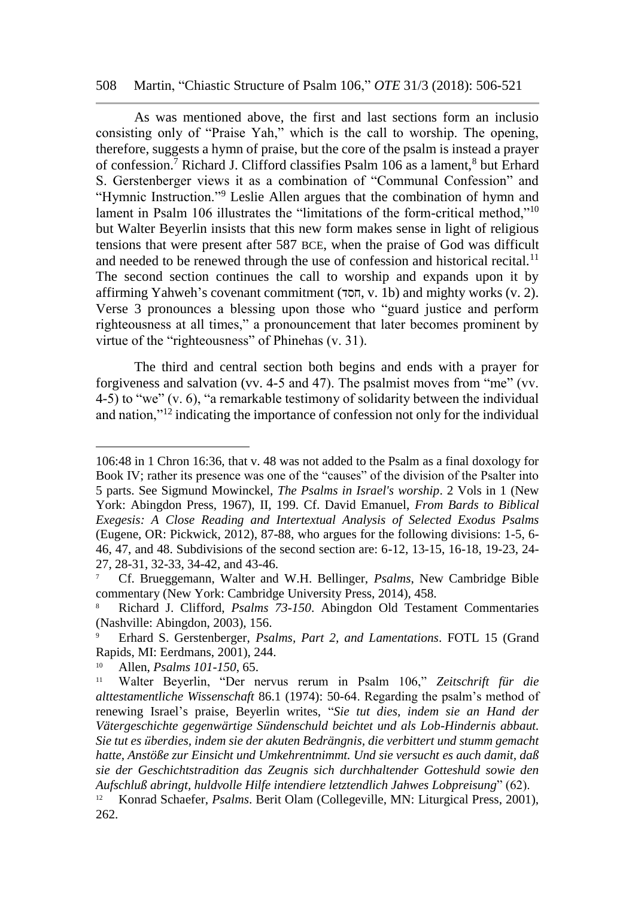#### 508 Martin, "Chiastic Structure of Psalm 106," *OTE* 31/3 (2018): 506-521

As was mentioned above, the first and last sections form an inclusio consisting only of "Praise Yah," which is the call to worship. The opening, therefore, suggests a hymn of praise, but the core of the psalm is instead a prayer of confession.<sup>7</sup> Richard J. Clifford classifies Psalm 106 as a lament,<sup>8</sup> but Erhard S. Gerstenberger views it as a combination of "Communal Confession" and "Hymnic Instruction."<sup>9</sup> Leslie Allen argues that the combination of hymn and lament in Psalm 106 illustrates the "limitations of the form-critical method,"<sup>10</sup> but Walter Beyerlin insists that this new form makes sense in light of religious tensions that were present after 587 BCE, when the praise of God was difficult and needed to be renewed through the use of confession and historical recital.<sup>11</sup> The second section continues the call to worship and expands upon it by affirming Yahweh's covenant commitment (חסד, v. 1b) and mighty works (v. 2). Verse 3 pronounces a blessing upon those who "guard justice and perform righteousness at all times," a pronouncement that later becomes prominent by virtue of the "righteousness" of Phinehas (v. 31).

The third and central section both begins and ends with a prayer for forgiveness and salvation (vv. 4-5 and 47). The psalmist moves from "me" (vv. 4-5) to "we" (v. 6), "a remarkable testimony of solidarity between the individual and nation,"<sup>12</sup> indicating the importance of confession not only for the individual

<sup>106:48</sup> in 1 Chron 16:36, that v. 48 was not added to the Psalm as a final doxology for Book IV; rather its presence was one of the "causes" of the division of the Psalter into 5 parts. See Sigmund Mowinckel, *The Psalms in Israel's worship*. 2 Vols in 1 (New York: Abingdon Press, 1967), II, 199. Cf. David Emanuel, *From Bards to Biblical Exegesis: A Close Reading and Intertextual Analysis of Selected Exodus Psalms*  (Eugene, OR: Pickwick, 2012), 87-88, who argues for the following divisions: 1-5, 6- 46, 47, and 48. Subdivisions of the second section are: 6-12, 13-15, 16-18, 19-23, 24- 27, 28-31, 32-33, 34-42, and 43-46.

<sup>7</sup> Cf. Brueggemann, Walter and W.H. Bellinger, *Psalms*, New Cambridge Bible commentary (New York: Cambridge University Press, 2014), 458.

<sup>8</sup> Richard J. Clifford, *Psalms 73-150*. Abingdon Old Testament Commentaries (Nashville: Abingdon, 2003), 156.

<sup>9</sup> Erhard S. Gerstenberger, *Psalms, Part 2, and Lamentations*. FOTL 15 (Grand Rapids, MI: Eerdmans, 2001), 244.

<sup>10</sup> Allen, *Psalms 101-150*, 65.

<sup>11</sup> Walter Beyerlin, "Der nervus rerum in Psalm 106," *Zeitschrift für die alttestamentliche Wissenschaft* 86.1 (1974): 50-64. Regarding the psalm's method of renewing Israel's praise, Beyerlin writes, "*Sie tut dies, indem sie an Hand der Vätergeschichte gegenwärtige Sündenschuld beichtet und als Lob-Hindernis abbaut. Sie tut es überdies, indem sie der akuten Bedrängnis, die verbittert und stumm gemacht hatte, Anstöße zur Einsicht und Umkehrentnimmt. Und sie versucht es auch damit, daß sie der Geschichtstradition das Zeugnis sich durchhaltender Gotteshuld sowie den Aufschluß abringt, huldvolle Hilfe intendiere letztendlich Jahwes Lobpreisung*" (62).

<sup>12</sup> Konrad Schaefer, *Psalms*. Berit Olam (Collegeville, MN: Liturgical Press, 2001), 262.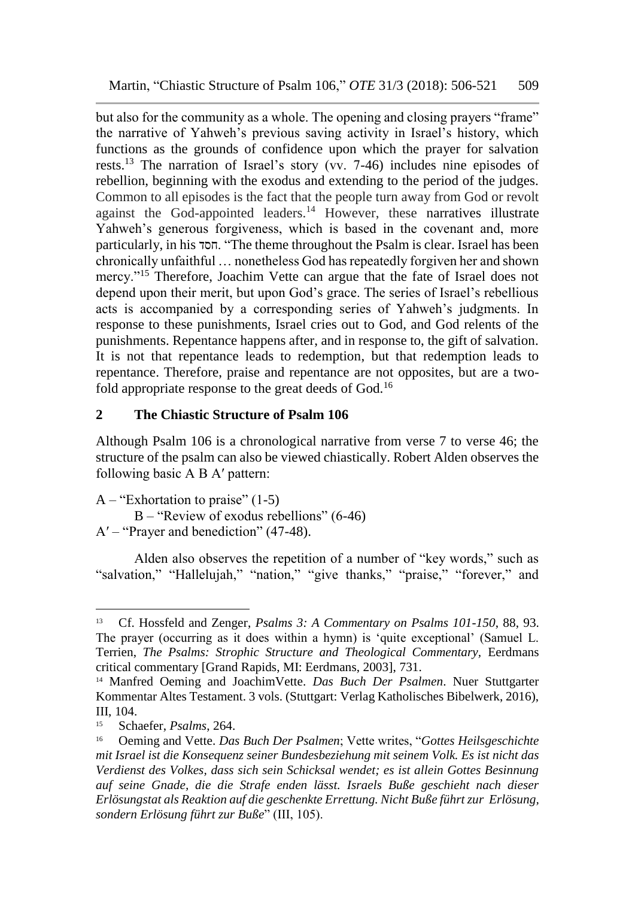but also for the community as a whole. The opening and closing prayers "frame" the narrative of Yahweh's previous saving activity in Israel's history, which functions as the grounds of confidence upon which the prayer for salvation rests.<sup>13</sup> The narration of Israel's story (vv. 7-46) includes nine episodes of rebellion, beginning with the exodus and extending to the period of the judges. Common to all episodes is the fact that the people turn away from God or revolt against the God-appointed leaders.<sup>14</sup> However, these narratives illustrate Yahweh's generous forgiveness, which is based in the covenant and, more particularly, in his חסד." The theme throughout the Psalm is clear. Israel has been chronically unfaithful … nonetheless God has repeatedly forgiven her and shown mercy."<sup>15</sup> Therefore, Joachim Vette can argue that the fate of Israel does not depend upon their merit, but upon God's grace. The series of Israel's rebellious acts is accompanied by a corresponding series of Yahweh's judgments. In response to these punishments, Israel cries out to God, and God relents of the punishments. Repentance happens after, and in response to, the gift of salvation. It is not that repentance leads to redemption, but that redemption leads to repentance. Therefore, praise and repentance are not opposites, but are a twofold appropriate response to the great deeds of God.<sup>16</sup>

### **2 The Chiastic Structure of Psalm 106**

Although Psalm 106 is a chronological narrative from verse 7 to verse 46; the structure of the psalm can also be viewed chiastically. Robert Alden observes the following basic A B A′ pattern:

 $A - "Exhortation to praise" (1-5)$ 

B – "Review of exodus rebellions" (6-46) A′ – "Prayer and benediction" (47-48).

Alden also observes the repetition of a number of "key words," such as "salvation," "Hallelujah," "nation," "give thanks," "praise," "forever," and

<sup>13</sup> Cf. Hossfeld and Zenger, *Psalms 3: A Commentary on Psalms 101-150*, 88, 93. The prayer (occurring as it does within a hymn) is 'quite exceptional' (Samuel L. Terrien, *The Psalms: Strophic Structure and Theological Commentary,* Eerdmans critical commentary [Grand Rapids, MI: Eerdmans, 2003], 731.

<sup>14</sup> Manfred Oeming and JoachimVette. *Das Buch Der Psalmen*. Nuer Stuttgarter Kommentar Altes Testament. 3 vols. (Stuttgart: Verlag Katholisches Bibelwerk, 2016), III, 104.

<sup>15</sup> Schaefer, *Psalms*, 264.

<sup>16</sup> Oeming and Vette. *Das Buch Der Psalmen*; Vette writes, "*Gottes Heilsgeschichte mit Israel ist die Konsequenz seiner Bundesbeziehung mit seinem Volk. Es ist nicht das Verdienst des Volkes, dass sich sein Schicksal wendet; es ist allein Gottes Besinnung auf seine Gnade, die die Strafe enden lässt. Israels Buße geschieht nach dieser Erlösungstat als Reaktion auf die geschenkte Errettung. Nicht Buße führt zur Erlösung, sondern Erlösung führt zur Buße*" (III, 105).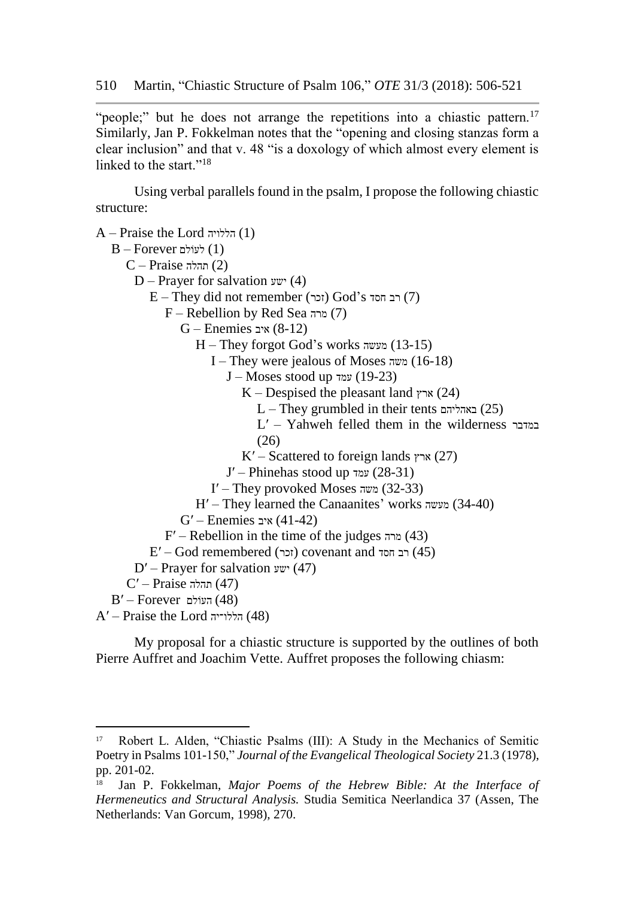"people;" but he does not arrange the repetitions into a chiastic pattern.<sup>17</sup> Similarly, Jan P. Fokkelman notes that the "opening and closing stanzas form a clear inclusion" and that v. 48 "is a doxology of which almost every element is linked to the start."<sup>18</sup>

Using verbal parallels found in the psalm, I propose the following chiastic structure:

A – Praise the Lord הללויה) 1(  $B$ – Forever לעוֹלם (1)  $C$  – Praise תהלה) (2) D – Prayer for salvation  $y''(4)$  $E$  – They did not remember (זכר) God's רב חסד  $(7)$ F – Rebellion by Red Sea מרה) 7( G – Enemies איב) 8-12( H – They forgot God's works מעשה) 13-15( I – They were jealous of Moses משה (16-18) J – Moses stood up עמד) 19-23( K – Despised the pleasant land  $\gamma$ ארץ)  $(24)$  $L$  – They grumbled in their tents  $(25)$ L′ – Yahweh felled them in the wilderness במדבר  $(26)$ K' – Scattered to foreign lands ארץ (27) J′ – Phinehas stood up עמד) 28-31( I' – They provoked Moses משה)  $(32-33)$ H′ – They learned the Canaanites' works מעשה) 34-40( G′ – Enemies איב) 41-42(  $F'$  – Rebellion in the time of the judges  $(43)$  $E'$ – God remembered (זכר) covenant and רב הסד (45) D' – Prayer for salvation ישע)  $(47)$  $C'$ – Praise תהלה) (47)  $B'$ – Forever העוֹלם העוֹלם  $A'$ – Praise the Lord הללו־יה) (48)

My proposal for a chiastic structure is supported by the outlines of both Pierre Auffret and Joachim Vette. Auffret proposes the following chiasm:

l

Robert L. Alden, "Chiastic Psalms (III): A Study in the Mechanics of Semitic Poetry in Psalms 101-150," *Journal of the Evangelical Theological Society* 21.3 (1978), pp. 201-02.

Jan P. Fokkelman, *Major Poems of the Hebrew Bible: At the Interface of Hermeneutics and Structural Analysis.* Studia Semitica Neerlandica 37 (Assen, The Netherlands: Van Gorcum, 1998), 270.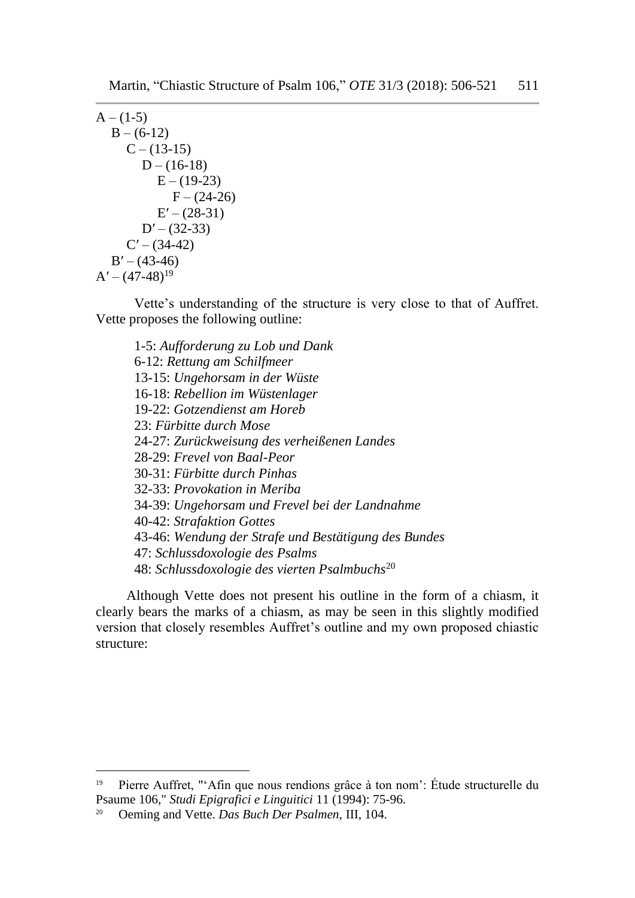```
A - (1-5)B - (6-12)C - (13-15)D - (16-18)E - (19-23)F - (24-26)E' - (28-31)D' – (32-33)
     C' - (34-42)B' - (43-46)A' - (47-48)^{19}
```
Vette's understanding of the structure is very close to that of Auffret. Vette proposes the following outline:

1-5: *Aufforderung zu Lob und Dank* 6-12: *Rettung am Schilfmeer* 13-15: *Ungehorsam in der Wüste* 16-18: *Rebellion im Wüstenlager* 19-22: *Gotzendienst am Horeb* 23: *Fürbitte durch Mose* 24-27: *Zurückweisung des verheißenen Landes* 28-29: *Frevel von Baal-Peor* 30-31: *Fürbitte durch Pinhas* 32-33: *Provokation in Meriba* 34-39: *Ungehorsam und Frevel bei der Landnahme* 40-42: *Strafaktion Gottes* 43-46: *Wendung der Strafe und Bestätigung des Bundes* 47: *Schlussdoxologie des Psalms* 48: *Schlussdoxologie des vierten Psalmbuchs*<sup>20</sup>

Although Vette does not present his outline in the form of a chiasm, it clearly bears the marks of a chiasm, as may be seen in this slightly modified version that closely resembles Auffret's outline and my own proposed chiastic structure:

<sup>&</sup>lt;sup>19</sup> Pierre Auffret, "'Afin que nous rendions grâce à ton nom': Étude structurelle du Psaume 106," *Studi Epigrafici e Linguitici* 11 (1994): 75-96.

<sup>20</sup> Oeming and Vette. *Das Buch Der Psalmen,* III, 104.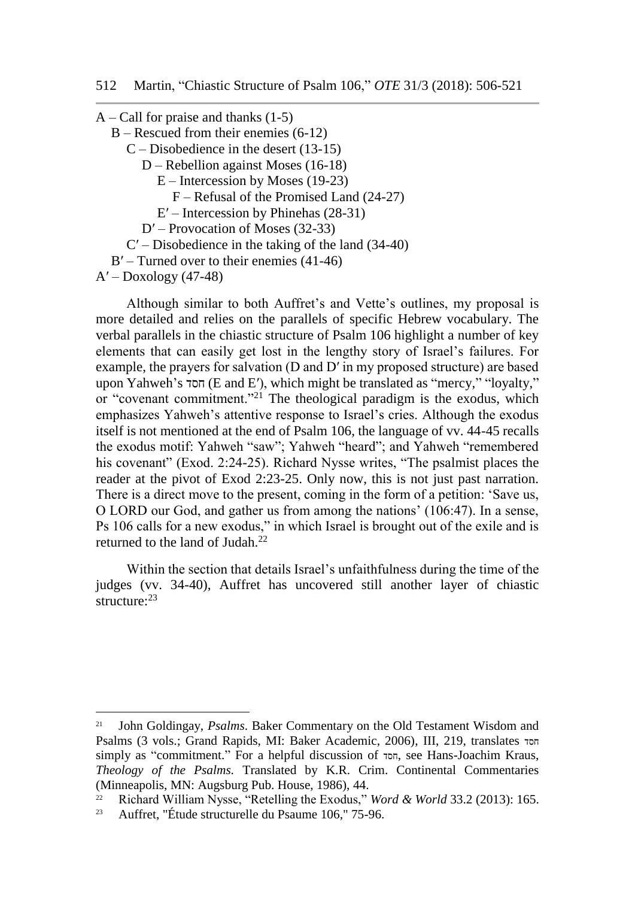$A -$ Call for praise and thanks (1-5) B – Rescued from their enemies (6-12) C – Disobedience in the desert (13-15) D – Rebellion against Moses (16-18) E – Intercession by Moses (19-23) F – Refusal of the Promised Land (24-27) E′ – Intercession by Phinehas (28-31)

D′ – Provocation of Moses (32-33)

C′ – Disobedience in the taking of the land (34-40)

B' – Turned over to their enemies (41-46)

 $A'$  – Doxology (47-48)

l

Although similar to both Auffret's and Vette's outlines, my proposal is more detailed and relies on the parallels of specific Hebrew vocabulary. The verbal parallels in the chiastic structure of Psalm 106 highlight a number of key elements that can easily get lost in the lengthy story of Israel's failures. For example, the prayers for salvation (D and D′ in my proposed structure) are based upon Yahweh's חסד) E and E′), which might be translated as "mercy," "loyalty," or "covenant commitment."<sup>21</sup> The theological paradigm is the exodus, which emphasizes Yahweh's attentive response to Israel's cries. Although the exodus itself is not mentioned at the end of Psalm 106, the language of vv. 44-45 recalls the exodus motif: Yahweh "saw"; Yahweh "heard"; and Yahweh "remembered his covenant" (Exod. 2:24-25). Richard Nysse writes, "The psalmist places the reader at the pivot of Exod 2:23-25. Only now, this is not just past narration. There is a direct move to the present, coming in the form of a petition: 'Save us, O LORD our God, and gather us from among the nations' (106:47). In a sense, Ps 106 calls for a new exodus," in which Israel is brought out of the exile and is returned to the land of Judah.<sup>22</sup>

Within the section that details Israel's unfaithfulness during the time of the judges (vv. 34-40), Auffret has uncovered still another layer of chiastic structure:  $23$ 

<sup>21</sup> John Goldingay, *Psalms*. Baker Commentary on the Old Testament Wisdom and Psalms (3 vols.; Grand Rapids, MI: Baker Academic, 2006), III, 219, translates חסד simply as "commitment." For a helpful discussion of חסד, see Hans-Joachim Kraus, *Theology of the Psalms.* Translated by K.R. Crim. Continental Commentaries (Minneapolis, MN: Augsburg Pub. House, 1986), 44.

<sup>22</sup> Richard William Nysse, "Retelling the Exodus," *Word & World* 33.2 (2013): 165.

<sup>23</sup> Auffret, "Étude structurelle du Psaume 106," 75-96.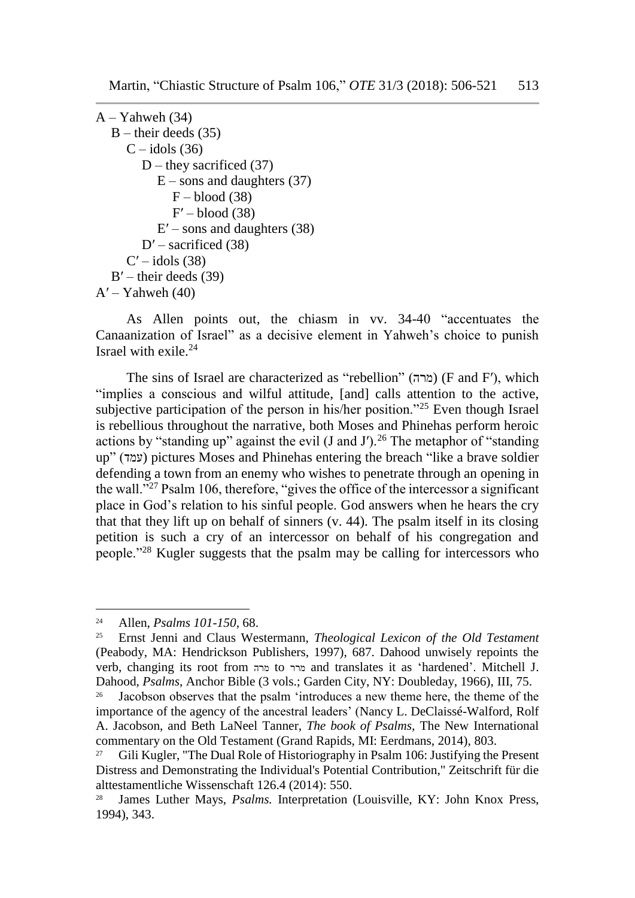```
A - Yahweh (34)
  B – their deeds (35)
     C - <i>idols</i> (36)
        D – they sacrificed (37)
           E – sons and daughters (37)
              F - blood (38)F' – blood (38)
           E' – sons and daughters (38)
        D' – sacrificed (38)
     C' – idols (38)
  B' – their deeds (39)
A' – Yahweh (40)
```
As Allen points out, the chiasm in vv. 34-40 "accentuates the Canaanization of Israel" as a decisive element in Yahweh's choice to punish Israel with exile.<sup>24</sup>

The sins of Israel are characterized as "rebellion" (מרה) (F and F′), which "implies a conscious and wilful attitude, [and] calls attention to the active, subjective participation of the person in his/her position."<sup>25</sup> Even though Israel is rebellious throughout the narrative, both Moses and Phinehas perform heroic actions by "standing up" against the evil  $(J \text{ and } J')$ .<sup>26</sup> The metaphor of "standing up" (עמד) pictures Moses and Phinehas entering the breach "like a brave soldier defending a town from an enemy who wishes to penetrate through an opening in the wall."<sup>27</sup> Psalm 106, therefore, "gives the office of the intercessor a significant place in God's relation to his sinful people. God answers when he hears the cry that that they lift up on behalf of sinners (v. 44). The psalm itself in its closing petition is such a cry of an intercessor on behalf of his congregation and people."<sup>28</sup> Kugler suggests that the psalm may be calling for intercessors who

<sup>24</sup> Allen, *Psalms 101-150*, 68.

<sup>25</sup> Ernst Jenni and Claus Westermann, *Theological Lexicon of the Old Testament* (Peabody, MA: Hendrickson Publishers, 1997), 687. Dahood unwisely repoints the verb, changing its root from מרה to מרר and translates it as 'hardened'. Mitchell J. Dahood, *Psalms*, Anchor Bible (3 vols.; Garden City, NY: Doubleday, 1966), III, 75.

<sup>&</sup>lt;sup>26</sup> Jacobson observes that the psalm 'introduces a new theme here, the theme of the importance of the agency of the ancestral leaders' (Nancy L. DeClaissé-Walford, Rolf A. Jacobson, and Beth LaNeel Tanner, *The book of Psalms,* The New International commentary on the Old Testament (Grand Rapids, MI: Eerdmans, 2014), 803.

<sup>27</sup> Gili Kugler, "The Dual Role of Historiography in Psalm 106: Justifying the Present Distress and Demonstrating the Individual's Potential Contribution," Zeitschrift für die alttestamentliche Wissenschaft 126.4 (2014): 550.

<sup>28</sup> James Luther Mays, *Psalms.* Interpretation (Louisville, KY: John Knox Press, 1994), 343.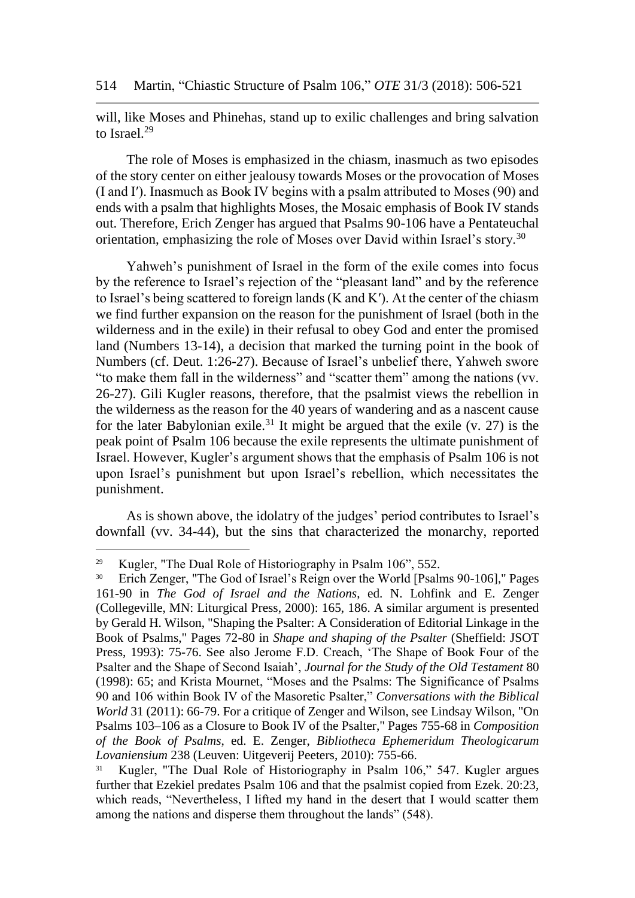will, like Moses and Phinehas, stand up to exilic challenges and bring salvation to Israel.<sup>29</sup>

The role of Moses is emphasized in the chiasm, inasmuch as two episodes of the story center on either jealousy towards Moses or the provocation of Moses (I and I′). Inasmuch as Book IV begins with a psalm attributed to Moses (90) and ends with a psalm that highlights Moses, the Mosaic emphasis of Book IV stands out. Therefore, Erich Zenger has argued that Psalms 90-106 have a Pentateuchal orientation, emphasizing the role of Moses over David within Israel's story.<sup>30</sup>

Yahweh's punishment of Israel in the form of the exile comes into focus by the reference to Israel's rejection of the "pleasant land" and by the reference to Israel's being scattered to foreign lands (K and K′). At the center of the chiasm we find further expansion on the reason for the punishment of Israel (both in the wilderness and in the exile) in their refusal to obey God and enter the promised land (Numbers 13-14), a decision that marked the turning point in the book of Numbers (cf. Deut. 1:26-27). Because of Israel's unbelief there, Yahweh swore "to make them fall in the wilderness" and "scatter them" among the nations (vv. 26-27). Gili Kugler reasons, therefore, that the psalmist views the rebellion in the wilderness as the reason for the 40 years of wandering and as a nascent cause for the later Babylonian exile.<sup>31</sup> It might be argued that the exile (v. 27) is the peak point of Psalm 106 because the exile represents the ultimate punishment of Israel. However, Kugler's argument shows that the emphasis of Psalm 106 is not upon Israel's punishment but upon Israel's rebellion, which necessitates the punishment.

As is shown above, the idolatry of the judges' period contributes to Israel's downfall (vv. 34-44), but the sins that characterized the monarchy, reported

l

<sup>&</sup>lt;sup>29</sup> Kugler, "The Dual Role of Historiography in Psalm 106", 552.

<sup>&</sup>lt;sup>30</sup> Erich Zenger, "The God of Israel's Reign over the World [Psalms 90-106]," Pages 161-90 in *The God of Israel and the Nations*, ed. N. Lohfink and E. Zenger (Collegeville, MN: Liturgical Press, 2000): 165, 186. A similar argument is presented by Gerald H. Wilson, "Shaping the Psalter: A Consideration of Editorial Linkage in the Book of Psalms," Pages 72-80 in *Shape and shaping of the Psalter* (Sheffield: JSOT Press, 1993): 75-76. See also Jerome F.D. Creach, 'The Shape of Book Four of the Psalter and the Shape of Second Isaiah', *Journal for the Study of the Old Testament* 80 (1998): 65; and Krista Mournet, "Moses and the Psalms: The Significance of Psalms 90 and 106 within Book IV of the Masoretic Psalter," *Conversations with the Biblical World* 31 (2011): 66-79. For a critique of Zenger and Wilson, see Lindsay Wilson, "On Psalms 103–106 as a Closure to Book IV of the Psalter," Pages 755-68 in *Composition of the Book of Psalms*, ed. E. Zenger, *Bibliotheca Ephemeridum Theologicarum Lovaniensium* 238 (Leuven: Uitgeverij Peeters, 2010): 755-66.

<sup>&</sup>lt;sup>31</sup> Kugler, "The Dual Role of Historiography in Psalm 106," 547. Kugler argues further that Ezekiel predates Psalm 106 and that the psalmist copied from Ezek. 20:23, which reads, "Nevertheless, I lifted my hand in the desert that I would scatter them among the nations and disperse them throughout the lands" (548).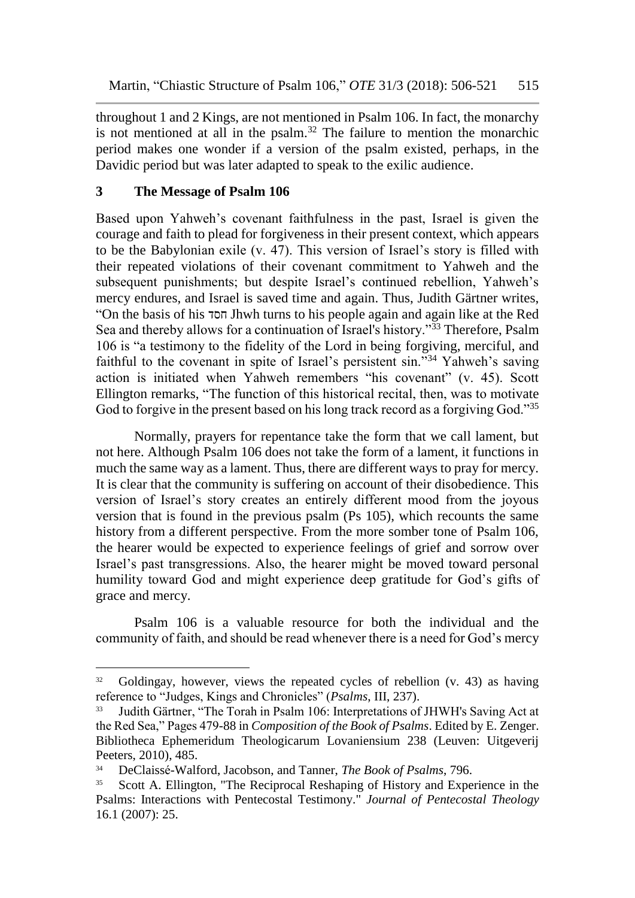throughout 1 and 2 Kings, are not mentioned in Psalm 106. In fact, the monarchy is not mentioned at all in the psalm.<sup>32</sup> The failure to mention the monarchic period makes one wonder if a version of the psalm existed, perhaps, in the Davidic period but was later adapted to speak to the exilic audience.

### **3 The Message of Psalm 106**

 $\overline{a}$ 

Based upon Yahweh's covenant faithfulness in the past, Israel is given the courage and faith to plead for forgiveness in their present context, which appears to be the Babylonian exile (v. 47). This version of Israel's story is filled with their repeated violations of their covenant commitment to Yahweh and the subsequent punishments; but despite Israel's continued rebellion, Yahweh's mercy endures, and Israel is saved time and again. Thus, Judith Gärtner writes, "On the basis of his חסד Jhwh turns to his people again and again like at the Red Sea and thereby allows for a continuation of Israel's history."<sup>33</sup> Therefore, Psalm 106 is "a testimony to the fidelity of the Lord in being forgiving, merciful, and faithful to the covenant in spite of Israel's persistent sin."<sup>34</sup> Yahweh's saving action is initiated when Yahweh remembers "his covenant" (v. 45). Scott Ellington remarks, "The function of this historical recital, then, was to motivate God to forgive in the present based on his long track record as a forgiving God."<sup>35</sup>

Normally, prayers for repentance take the form that we call lament, but not here. Although Psalm 106 does not take the form of a lament, it functions in much the same way as a lament. Thus, there are different ways to pray for mercy. It is clear that the community is suffering on account of their disobedience. This version of Israel's story creates an entirely different mood from the joyous version that is found in the previous psalm (Ps 105), which recounts the same history from a different perspective. From the more somber tone of Psalm 106, the hearer would be expected to experience feelings of grief and sorrow over Israel's past transgressions. Also, the hearer might be moved toward personal humility toward God and might experience deep gratitude for God's gifts of grace and mercy.

Psalm 106 is a valuable resource for both the individual and the community of faith, and should be read whenever there is a need for God's mercy

<sup>32</sup> Goldingay, however, views the repeated cycles of rebellion (v. 43) as having reference to "Judges, Kings and Chronicles" (*Psalms*, III, 237).

<sup>33</sup> Judith Gärtner, "The Torah in Psalm 106: Interpretations of JHWH's Saving Act at the Red Sea," Pages 479-88 in *Composition of the Book of Psalms*. Edited by E. Zenger. Bibliotheca Ephemeridum Theologicarum Lovaniensium 238 (Leuven: Uitgeverij Peeters, 2010), 485.

<sup>34</sup> DeClaissé-Walford, Jacobson, and Tanner, *The Book of Psalms*, 796.

Scott A. Ellington, "The Reciprocal Reshaping of History and Experience in the Psalms: Interactions with Pentecostal Testimony." *Journal of Pentecostal Theology* 16.1 (2007): 25.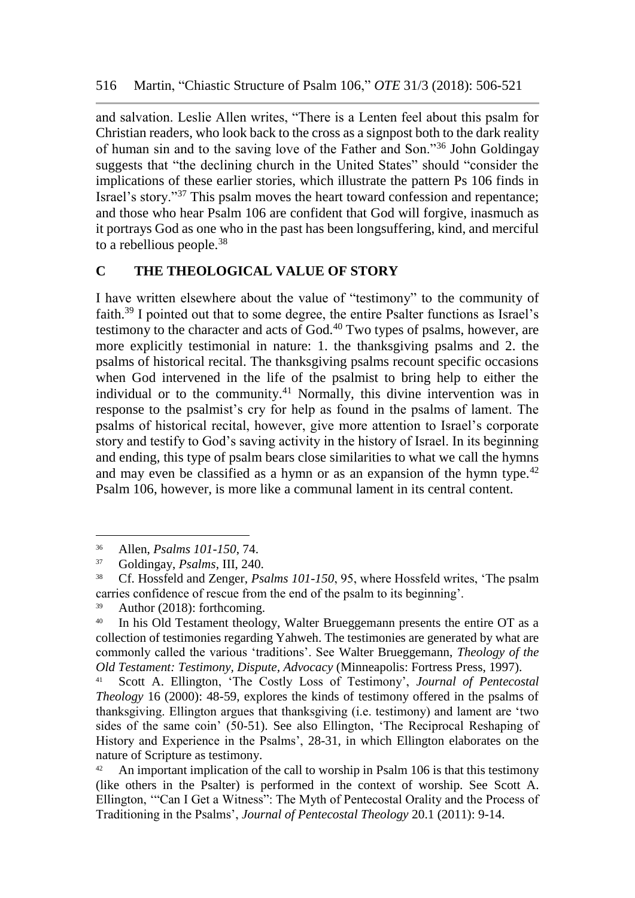and salvation. Leslie Allen writes, "There is a Lenten feel about this psalm for Christian readers, who look back to the cross as a signpost both to the dark reality of human sin and to the saving love of the Father and Son."<sup>36</sup> John Goldingay suggests that "the declining church in the United States" should "consider the implications of these earlier stories, which illustrate the pattern Ps 106 finds in Israel's story."<sup>37</sup> This psalm moves the heart toward confession and repentance; and those who hear Psalm 106 are confident that God will forgive, inasmuch as it portrays God as one who in the past has been longsuffering, kind, and merciful to a rebellious people.<sup>38</sup>

## **C THE THEOLOGICAL VALUE OF STORY**

I have written elsewhere about the value of "testimony" to the community of faith.<sup>39</sup> I pointed out that to some degree, the entire Psalter functions as Israel's testimony to the character and acts of  $God.<sup>40</sup> Two types of psalms, however, are$ more explicitly testimonial in nature: 1. the thanksgiving psalms and 2. the psalms of historical recital. The thanksgiving psalms recount specific occasions when God intervened in the life of the psalmist to bring help to either the individual or to the community.<sup>41</sup> Normally, this divine intervention was in response to the psalmist's cry for help as found in the psalms of lament. The psalms of historical recital, however, give more attention to Israel's corporate story and testify to God's saving activity in the history of Israel. In its beginning and ending, this type of psalm bears close similarities to what we call the hymns and may even be classified as a hymn or as an expansion of the hymn type.<sup>42</sup> Psalm 106, however, is more like a communal lament in its central content.

<sup>36</sup> Allen, *Psalms 101-150*, 74.

<sup>37</sup> Goldingay, *Psalms*, III, 240.

<sup>38</sup> Cf. Hossfeld and Zenger, *Psalms 101-150*, 95, where Hossfeld writes, 'The psalm carries confidence of rescue from the end of the psalm to its beginning'.

<sup>39</sup> Author (2018): forthcoming.

<sup>&</sup>lt;sup>40</sup> In his Old Testament theology, Walter Brueggemann presents the entire OT as a collection of testimonies regarding Yahweh. The testimonies are generated by what are commonly called the various 'traditions'. See Walter Brueggemann, *Theology of the Old Testament: Testimony, Dispute, Advocacy* (Minneapolis: Fortress Press, 1997).

<sup>41</sup> Scott A. Ellington, 'The Costly Loss of Testimony', *Journal of Pentecostal Theology* 16 (2000): 48-59, explores the kinds of testimony offered in the psalms of thanksgiving. Ellington argues that thanksgiving (i.e. testimony) and lament are 'two sides of the same coin' (50-51). See also Ellington, 'The Reciprocal Reshaping of History and Experience in the Psalms', 28-31, in which Ellington elaborates on the nature of Scripture as testimony.

 $42$  An important implication of the call to worship in Psalm 106 is that this testimony (like others in the Psalter) is performed in the context of worship. See Scott A. Ellington, '"Can I Get a Witness": The Myth of Pentecostal Orality and the Process of Traditioning in the Psalms', *Journal of Pentecostal Theology* 20.1 (2011): 9-14.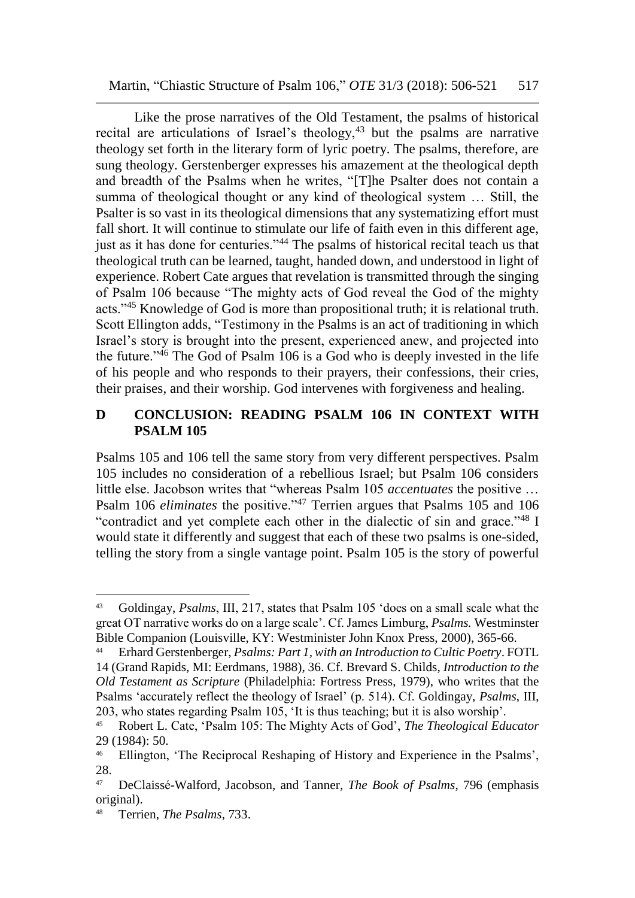Like the prose narratives of the Old Testament, the psalms of historical recital are articulations of Israel's theology, $43$  but the psalms are narrative theology set forth in the literary form of lyric poetry. The psalms, therefore, are sung theology. Gerstenberger expresses his amazement at the theological depth and breadth of the Psalms when he writes, "[T]he Psalter does not contain a summa of theological thought or any kind of theological system … Still, the Psalter is so vast in its theological dimensions that any systematizing effort must fall short. It will continue to stimulate our life of faith even in this different age, just as it has done for centuries."<sup>44</sup> The psalms of historical recital teach us that theological truth can be learned, taught, handed down, and understood in light of experience. Robert Cate argues that revelation is transmitted through the singing of Psalm 106 because "The mighty acts of God reveal the God of the mighty acts."<sup>45</sup> Knowledge of God is more than propositional truth; it is relational truth. Scott Ellington adds, "Testimony in the Psalms is an act of traditioning in which Israel's story is brought into the present, experienced anew, and projected into the future."<sup>46</sup> The God of Psalm 106 is a God who is deeply invested in the life of his people and who responds to their prayers, their confessions, their cries, their praises, and their worship. God intervenes with forgiveness and healing.

### **D CONCLUSION: READING PSALM 106 IN CONTEXT WITH PSALM 105**

Psalms 105 and 106 tell the same story from very different perspectives. Psalm 105 includes no consideration of a rebellious Israel; but Psalm 106 considers little else. Jacobson writes that "whereas Psalm 105 *accentuates* the positive … Psalm 106 *eliminates* the positive."<sup>47</sup> Terrien argues that Psalms 105 and 106 "contradict and yet complete each other in the dialectic of sin and grace."<sup>48</sup> I would state it differently and suggest that each of these two psalms is one-sided, telling the story from a single vantage point. Psalm 105 is the story of powerful

<sup>43</sup> Goldingay, *Psalms*, III, 217, states that Psalm 105 'does on a small scale what the great OT narrative works do on a large scale'. Cf. James Limburg, *Psalms.* Westminster Bible Companion (Louisville, KY: Westminister John Knox Press, 2000), 365-66.

<sup>44</sup> Erhard Gerstenberger, *Psalms: Part 1, with an Introduction to Cultic Poetry*. FOTL 14 (Grand Rapids, MI: Eerdmans, 1988), 36. Cf. Brevard S. Childs, *Introduction to the Old Testament as Scripture* (Philadelphia: Fortress Press, 1979), who writes that the Psalms 'accurately reflect the theology of Israel' (p. 514). Cf. Goldingay, *Psalms*, III, 203, who states regarding Psalm 105, 'It is thus teaching; but it is also worship'.

<sup>45</sup> Robert L. Cate, 'Psalm 105: The Mighty Acts of God', *The Theological Educator* 29 (1984): 50.

<sup>&</sup>lt;sup>46</sup> Ellington, 'The Reciprocal Reshaping of History and Experience in the Psalms', 28.

<sup>47</sup> DeClaissé-Walford, Jacobson, and Tanner, *The Book of Psalms*, 796 (emphasis original).

<sup>48</sup> Terrien, *The Psalms*, 733.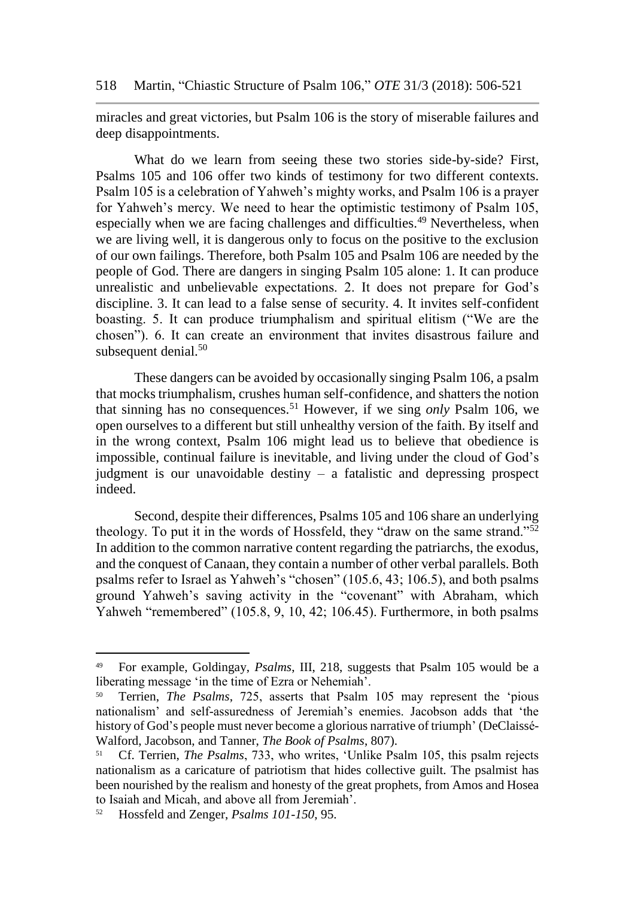miracles and great victories, but Psalm 106 is the story of miserable failures and deep disappointments.

What do we learn from seeing these two stories side-by-side? First, Psalms 105 and 106 offer two kinds of testimony for two different contexts. Psalm 105 is a celebration of Yahweh's mighty works, and Psalm 106 is a prayer for Yahweh's mercy. We need to hear the optimistic testimony of Psalm 105, especially when we are facing challenges and difficulties.<sup>49</sup> Nevertheless, when we are living well, it is dangerous only to focus on the positive to the exclusion of our own failings. Therefore, both Psalm 105 and Psalm 106 are needed by the people of God. There are dangers in singing Psalm 105 alone: 1. It can produce unrealistic and unbelievable expectations. 2. It does not prepare for God's discipline. 3. It can lead to a false sense of security. 4. It invites self-confident boasting. 5. It can produce triumphalism and spiritual elitism ("We are the chosen"). 6. It can create an environment that invites disastrous failure and subsequent denial.<sup>50</sup>

These dangers can be avoided by occasionally singing Psalm 106, a psalm that mocks triumphalism, crushes human self-confidence, and shatters the notion that sinning has no consequences.<sup>51</sup> However, if we sing *only* Psalm 106, we open ourselves to a different but still unhealthy version of the faith. By itself and in the wrong context, Psalm 106 might lead us to believe that obedience is impossible, continual failure is inevitable, and living under the cloud of God's judgment is our unavoidable destiny – a fatalistic and depressing prospect indeed.

Second, despite their differences, Psalms 105 and 106 share an underlying theology. To put it in the words of Hossfeld, they "draw on the same strand."<sup>52</sup> In addition to the common narrative content regarding the patriarchs, the exodus, and the conquest of Canaan, they contain a number of other verbal parallels. Both psalms refer to Israel as Yahweh's "chosen" (105.6, 43; 106.5), and both psalms ground Yahweh's saving activity in the "covenant" with Abraham, which Yahweh "remembered" (105.8, 9, 10, 42; 106.45). Furthermore, in both psalms

l

<sup>49</sup> For example, Goldingay, *Psalms*, III, 218, suggests that Psalm 105 would be a liberating message 'in the time of Ezra or Nehemiah'.

<sup>50</sup> Terrien, *The Psalms*, 725, asserts that Psalm 105 may represent the 'pious nationalism' and self-assuredness of Jeremiah's enemies. Jacobson adds that 'the history of God's people must never become a glorious narrative of triumph' (DeClaissé- Walford, Jacobson, and Tanner, *The Book of Psalms*, 807).

<sup>51</sup> Cf. Terrien, *The Psalms*, 733, who writes, 'Unlike Psalm 105, this psalm rejects nationalism as a caricature of patriotism that hides collective guilt. The psalmist has been nourished by the realism and honesty of the great prophets, from Amos and Hosea to Isaiah and Micah, and above all from Jeremiah'.

<sup>52</sup> Hossfeld and Zenger, *Psalms 101-150*, 95.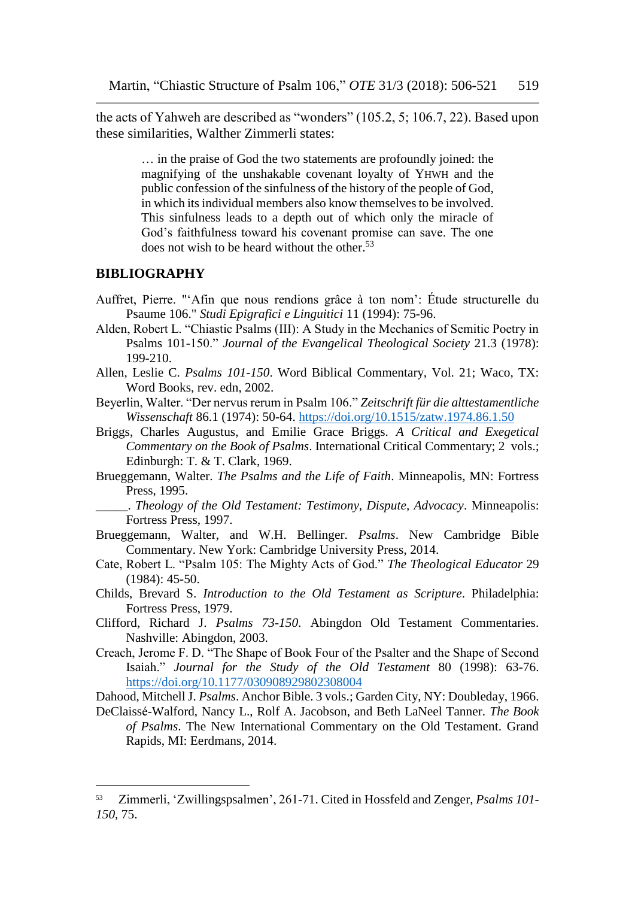the acts of Yahweh are described as "wonders" (105.2, 5; 106.7, 22). Based upon these similarities, Walther Zimmerli states:

> … in the praise of God the two statements are profoundly joined: the magnifying of the unshakable covenant loyalty of YHWH and the public confession of the sinfulness of the history of the people of God, in which its individual members also know themselves to be involved. This sinfulness leads to a depth out of which only the miracle of God's faithfulness toward his covenant promise can save. The one does not wish to be heard without the other. $53$

#### **BIBLIOGRAPHY**

l

- Auffret, Pierre. "'Afin que nous rendions grâce à ton nom': Étude structurelle du Psaume 106." *Studi Epigrafici e Linguitici* 11 (1994): 75-96.
- Alden, Robert L. "Chiastic Psalms (III): A Study in the Mechanics of Semitic Poetry in Psalms 101-150." *Journal of the Evangelical Theological Society* 21.3 (1978): 199-210.
- Allen, Leslie C. *Psalms 101-150*. Word Biblical Commentary, Vol. 21; Waco, TX: Word Books, rev. edn, 2002.
- Beyerlin, Walter. "Der nervus rerum in Psalm 106." *Zeitschrift für die alttestamentliche Wissenschaft* 86.1 (1974): 50-64. <https://doi.org/10.1515/zatw.1974.86.1.50>
- Briggs, Charles Augustus, and Emilie Grace Briggs. *A Critical and Exegetical Commentary on the Book of Psalms*. International Critical Commentary; 2 vols.; Edinburgh: T. & T. Clark, 1969.
- Brueggemann, Walter. *The Psalms and the Life of Faith*. Minneapolis, MN: Fortress Press, 1995.
- \_\_\_\_\_. *Theology of the Old Testament: Testimony, Dispute, Advocacy*. Minneapolis: Fortress Press, 1997.
- Brueggemann, Walter, and W.H. Bellinger. *Psalms*. New Cambridge Bible Commentary. New York: Cambridge University Press, 2014.
- Cate, Robert L. "Psalm 105: The Mighty Acts of God." *The Theological Educator* 29 (1984): 45-50.
- Childs, Brevard S. *Introduction to the Old Testament as Scripture*. Philadelphia: Fortress Press, 1979.
- Clifford, Richard J. *Psalms 73-150*. Abingdon Old Testament Commentaries. Nashville: Abingdon, 2003.
- Creach, Jerome F. D. "The Shape of Book Four of the Psalter and the Shape of Second Isaiah." *Journal for the Study of the Old Testament* 80 (1998): 63-76. <https://doi.org/10.1177/030908929802308004>

Dahood, Mitchell J. *Psalms*. Anchor Bible. 3 vols.; Garden City, NY: Doubleday, 1966.

DeClaissé-Walford, Nancy L., Rolf A. Jacobson, and Beth LaNeel Tanner. *The Book of Psalms*. The New International Commentary on the Old Testament. Grand Rapids, MI: Eerdmans, 2014.

<sup>53</sup> Zimmerli, 'Zwillingspsalmen', 261-71. Cited in Hossfeld and Zenger, *Psalms 101- 150*, 75.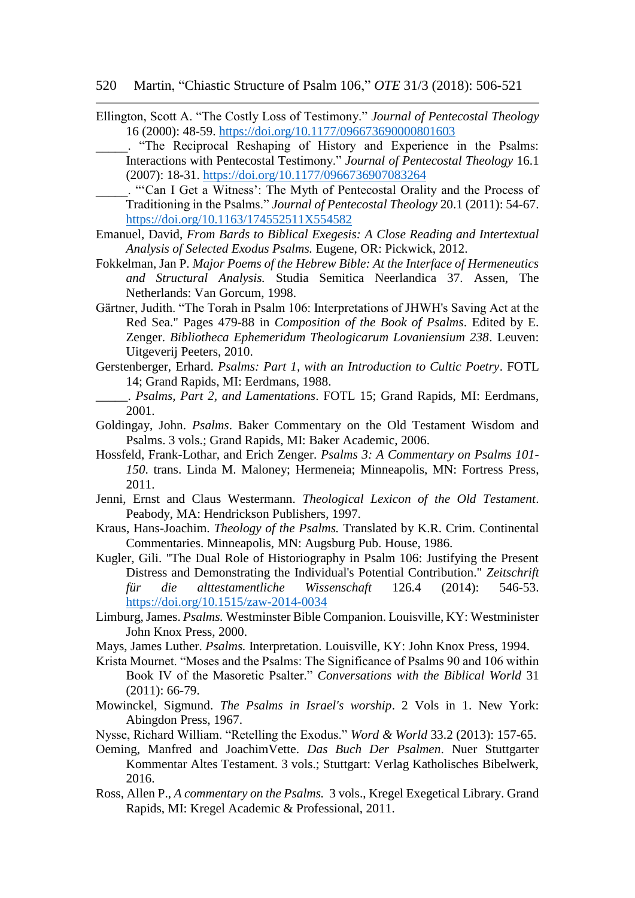#### 520 Martin, "Chiastic Structure of Psalm 106," *OTE* 31/3 (2018): 506-521

- Ellington, Scott A. "The Costly Loss of Testimony." *Journal of Pentecostal Theology* 16 (2000): 48-59. <https://doi.org/10.1177/096673690000801603>
	- \_\_\_\_\_. "The Reciprocal Reshaping of History and Experience in the Psalms: Interactions with Pentecostal Testimony." *Journal of Pentecostal Theology* 16.1 (2007): 18-31. <https://doi.org/10.1177/0966736907083264>
		- \_\_\_\_\_. "'Can I Get a Witness': The Myth of Pentecostal Orality and the Process of Traditioning in the Psalms." *Journal of Pentecostal Theology* 20.1 (2011): 54-67. <https://doi.org/10.1163/174552511X554582>
- Emanuel, David, *From Bards to Biblical Exegesis: A Close Reading and Intertextual Analysis of Selected Exodus Psalms.* Eugene, OR: Pickwick, 2012.
- Fokkelman, Jan P. *Major Poems of the Hebrew Bible: At the Interface of Hermeneutics and Structural Analysis.* Studia Semitica Neerlandica 37. Assen, The Netherlands: Van Gorcum, 1998.
- Gärtner, Judith. "The Torah in Psalm 106: Interpretations of JHWH's Saving Act at the Red Sea." Pages 479-88 in *Composition of the Book of Psalms*. Edited by E. Zenger. *Bibliotheca Ephemeridum Theologicarum Lovaniensium 238*. Leuven: Uitgeverij Peeters, 2010.
- Gerstenberger, Erhard. *Psalms: Part 1, with an Introduction to Cultic Poetry*. FOTL 14; Grand Rapids, MI: Eerdmans, 1988.
- \_\_\_\_\_. *Psalms, Part 2, and Lamentations*. FOTL 15; Grand Rapids, MI: Eerdmans, 2001.
- Goldingay, John. *Psalms*. Baker Commentary on the Old Testament Wisdom and Psalms. 3 vols.; Grand Rapids, MI: Baker Academic, 2006.
- Hossfeld, Frank-Lothar, and Erich Zenger. *Psalms 3: A Commentary on Psalms 101- 150*. trans. Linda M. Maloney; Hermeneia; Minneapolis, MN: Fortress Press, 2011.
- Jenni, Ernst and Claus Westermann. *Theological Lexicon of the Old Testament*. Peabody, MA: Hendrickson Publishers, 1997.
- Kraus, Hans-Joachim. *Theology of the Psalms.* Translated by K.R. Crim. Continental Commentaries. Minneapolis, MN: Augsburg Pub. House, 1986.
- Kugler, Gili. "The Dual Role of Historiography in Psalm 106: Justifying the Present Distress and Demonstrating the Individual's Potential Contribution." *Zeitschrift für die alttestamentliche Wissenschaft* 126.4 (2014): 546-53. <https://doi.org/10.1515/zaw-2014-0034>
- Limburg, James. *Psalms.* Westminster Bible Companion. Louisville, KY: Westminister John Knox Press, 2000.
- Mays, James Luther. *Psalms.* Interpretation. Louisville, KY: John Knox Press, 1994.
- Krista Mournet. "Moses and the Psalms: The Significance of Psalms 90 and 106 within Book IV of the Masoretic Psalter." *Conversations with the Biblical World* 31 (2011): 66-79.
- Mowinckel, Sigmund. *The Psalms in Israel's worship*. 2 Vols in 1. New York: Abingdon Press, 1967.
- Nysse, Richard William. "Retelling the Exodus." *Word & World* 33.2 (2013): 157-65.
- Oeming, Manfred and JoachimVette. *Das Buch Der Psalmen*. Nuer Stuttgarter Kommentar Altes Testament. 3 vols.; Stuttgart: Verlag Katholisches Bibelwerk, 2016.
- Ross, Allen P., *A commentary on the Psalms.* 3 vols., Kregel Exegetical Library. Grand Rapids, MI: Kregel Academic & Professional, 2011.